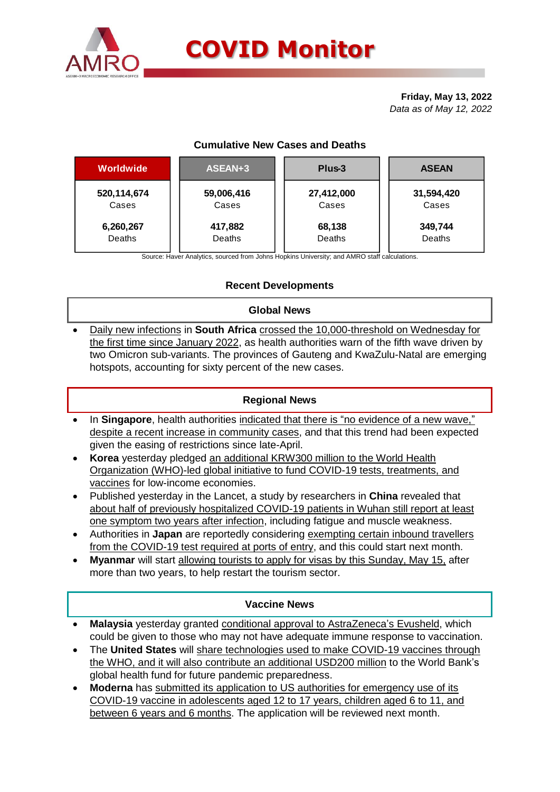

# **COVID Monitor**

**Friday, May 13, 2022** *Data as of May 12, 2022*

## **Cumulative New Cases and Deaths**

| Worldwide     | ASEAN+3    | Plus-3     | <b>ASEAN</b> |
|---------------|------------|------------|--------------|
| 520, 114, 674 | 59,006,416 | 27,412,000 | 31,594,420   |
| Cases         | Cases      | Cases      | Cases        |
| 6,260,267     | 417,882    | 68,138     | 349,744      |
| Deaths        | Deaths     | Deaths     | Deaths       |

Source: Haver Analytics, sourced from Johns Hopkins University; and AMRO staff calculations.

## **Recent Developments**

#### **Global News**

 Daily new infections in **South Africa** crossed the 10,000-threshold on Wednesday for the first time since January 2022, as health authorities warn of the fifth wave driven by two Omicron sub-variants. The provinces of Gauteng and KwaZulu-Natal are emerging hotspots, accounting for sixty percent of the new cases.

#### **Regional News**

- In **Singapore**, health authorities indicated that there is "no evidence of a new wave," despite a recent increase in community cases, and that this trend had been expected given the easing of restrictions since late-April.
- **Korea** yesterday pledged an additional KRW300 million to the World Health Organization (WHO)-led global initiative to fund COVID-19 tests, treatments, and vaccines for low-income economies.
- Published yesterday in the Lancet, a study by researchers in **China** revealed that about half of previously hospitalized COVID-19 patients in Wuhan still report at least one symptom two years after infection, including fatigue and muscle weakness.
- Authorities in **Japan** are reportedly considering exempting certain inbound travellers from the COVID-19 test required at ports of entry, and this could start next month.
- **Myanmar** will start allowing tourists to apply for visas by this Sunday, May 15, after more than two years, to help restart the tourism sector.

#### **Vaccine News**

- **Malaysia** yesterday granted conditional approval to AstraZeneca's Evusheld, which could be given to those who may not have adequate immune response to vaccination.
- The **United States** will share technologies used to make COVID-19 vaccines through the WHO, and it will also contribute an additional USD200 million to the World Bank's global health fund for future pandemic preparedness.
- **Moderna** has submitted its application to US authorities for emergency use of its COVID-19 vaccine in adolescents aged 12 to 17 years, children aged 6 to 11, and between 6 years and 6 months. The application will be reviewed next month.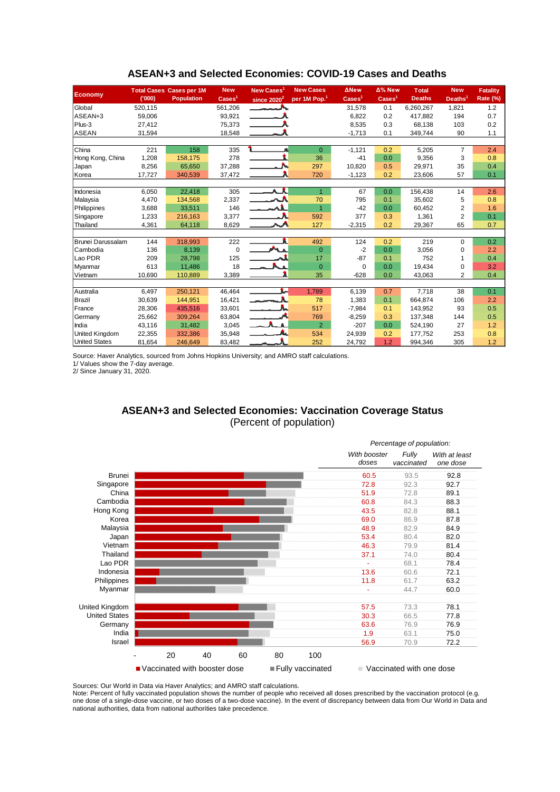| <b>Economy</b>        |         | <b>Total Cases Cases per 1M</b> | <b>New</b>               | New Cases <sup>1</sup>                                                                                                                                                                                                               | <b>New Cases</b>         | <b>ANew</b>                 | Δ% New                   | <b>Total</b>  | <b>New</b>          | <b>Fatality</b> |
|-----------------------|---------|---------------------------------|--------------------------|--------------------------------------------------------------------------------------------------------------------------------------------------------------------------------------------------------------------------------------|--------------------------|-----------------------------|--------------------------|---------------|---------------------|-----------------|
|                       | (000)   | <b>Population</b>               | $\text{Case} \text{s}^1$ | since $2020^2$                                                                                                                                                                                                                       | per 1M Pop. <sup>1</sup> | $\overline{\text{Cases}}^1$ | $\text{Case} \text{s}^1$ | <b>Deaths</b> | Deaths <sup>1</sup> | Rate (%)        |
| Global                | 520,115 |                                 | 561,206                  | <u> The Common State State State State State State State State State State State State State State State State State State State State State State State State State State State State State State State State State State State</u> |                          | 31,578                      | 0.1                      | 6,260,267     | 1,821               | 1.2             |
| ASEAN+3               | 59,006  |                                 | 93,921                   |                                                                                                                                                                                                                                      |                          | 6,822                       | 0.2                      | 417,882       | 194                 | 0.7             |
| $Plus-3$              | 27,412  |                                 | 75,373                   |                                                                                                                                                                                                                                      |                          | 8,535                       | 0.3                      | 68,138        | 103                 | 0.2             |
| <b>ASEAN</b>          | 31,594  |                                 | 18,548                   |                                                                                                                                                                                                                                      |                          | $-1,713$                    | 0.1                      | 349,744       | 90                  | 1.1             |
|                       |         |                                 |                          |                                                                                                                                                                                                                                      |                          |                             |                          |               |                     |                 |
| <b>China</b>          | 221     | 158                             | 335                      |                                                                                                                                                                                                                                      | $\mathbf{0}$             | $-1,121$                    | 0.2                      | 5,205         | $\overline{7}$      | 2.4             |
| Hong Kong, China      | 1,208   | 158,175                         | 278                      |                                                                                                                                                                                                                                      | 36                       | $-41$                       | 0.0                      | 9,356         | 3                   | 0.8             |
| Japan                 | 8,256   | 65,650                          | 37,288                   |                                                                                                                                                                                                                                      | 297                      | 10,820                      | 0.5                      | 29,971        | 35                  | 0.4             |
| Korea                 | 17,727  | 340,539                         | 37,472                   |                                                                                                                                                                                                                                      | 720                      | $-1,123$                    | 0.2                      | 23,606        | 57                  | 0.1             |
|                       |         |                                 |                          |                                                                                                                                                                                                                                      |                          |                             |                          |               |                     |                 |
| Indonesia             | 6,050   | 22,418                          | 305                      | $\overline{\phantom{a}}$                                                                                                                                                                                                             | $\mathbf{1}$             | 67                          | 0.0                      | 156,438       | 14                  | 2.6             |
| Malaysia              | 4,470   | 134,568                         | 2,337                    | المحمد                                                                                                                                                                                                                               | 70                       | 795                         | 0.1                      | 35,602        | 5                   | 0.8             |
| Philippines           | 3,688   | 33,511                          | 146                      | $\overline{\phantom{a}}$                                                                                                                                                                                                             | $\overline{1}$           | $-42$                       | 0.0                      | 60,452        | 2                   | 1.6             |
| Singapore             | 1,233   | 216,163                         | 3,377                    |                                                                                                                                                                                                                                      | 592                      | 377                         | 0.3                      | 1,361         | $\overline{2}$      | 0.1             |
| Thailand              | 4,361   | 64,118                          | 8,629                    |                                                                                                                                                                                                                                      | 127                      | $-2,315$                    | 0.2                      | 29,367        | 65                  | 0.7             |
|                       |         |                                 |                          |                                                                                                                                                                                                                                      |                          |                             |                          |               |                     |                 |
| Brunei Darussalam     | 144     | 318,993                         | 222                      |                                                                                                                                                                                                                                      | 492                      | 124                         | 0.2                      | 219           | $\Omega$            | 0.2             |
| Cambodia              | 136     | 8,139                           | $\mathbf 0$              | <b>ALL</b>                                                                                                                                                                                                                           | $\overline{0}$           | $-2$                        | 0.0                      | 3,056         | $\mathbf 0$         | 2.2             |
| Lao PDR               | 209     | 28,798                          | 125                      |                                                                                                                                                                                                                                      | 17                       | $-87$                       | 0.1                      | 752           |                     | 0.4             |
| Myanmar               | 613     | 11,486                          | 18                       |                                                                                                                                                                                                                                      | $\mathbf{0}$             | 0                           | 0.0                      | 19,434        | $\mathbf 0$         | 3.2             |
| Vietnam               | 10,690  | 110,889                         | 3,389                    |                                                                                                                                                                                                                                      | 35                       | $-628$                      | 0.0                      | 43,063        | $\overline{2}$      | 0.4             |
|                       |         |                                 |                          |                                                                                                                                                                                                                                      |                          |                             |                          |               |                     |                 |
| Australia             | 6,497   | 250,121                         | 46,464                   | L-                                                                                                                                                                                                                                   | 1,789                    | 6,139                       | 0.7                      | 7,718         | 38                  | 0.1             |
| Brazil                | 30,639  | 144.951                         | 16,421                   | والمستردين                                                                                                                                                                                                                           | 78                       | 1,383                       | 0.1                      | 664.874       | 106                 | 2.2             |
| France                | 28,306  | 435,516                         | 33,601                   |                                                                                                                                                                                                                                      | 517                      | $-7,984$                    | 0.1                      | 143,952       | 93                  | 0.5             |
| Germany               | 25,662  | 309,264                         | 63,804                   |                                                                                                                                                                                                                                      | 769                      | $-8,259$                    | 0.3                      | 137,348       | 144                 | 0.5             |
| India                 | 43,116  | 31,482                          | 3,045                    | $ \Lambda$ $\Lambda$                                                                                                                                                                                                                 | $\overline{2}$           | $-207$                      | 0.0                      | 524,190       | 27                  | 1.2             |
| <b>United Kingdom</b> | 22,355  | 332,386                         | 35,948                   |                                                                                                                                                                                                                                      | 534                      | 24,939                      | 0.2                      | 177,752       | 253                 | 0.8             |
| <b>United States</b>  | 81,654  | 246,649                         | 83,482                   |                                                                                                                                                                                                                                      | 252                      | 24,792                      | 1.2                      | 994,346       | 305                 | 1.2             |

#### **ASEAN+3 and Selected Economies: COVID-19 Cases and Deaths**

Source: Haver Analytics, sourced from Johns Hopkins University; and AMRO staff calculations.

1/ Values show the 7-day average.

2/ Since January 31, 2020.

## **ASEAN+3 and Selected Economies: Vaccination Coverage Status** (Percent of population)



Sources: Our World in Data via Haver Analytics; and AMRO staff calculations.

Note: Percent of fully vaccinated population shows the number of people who received all doses prescribed by the vaccination protocol (e.g. one dose of a single-dose vaccine, or two doses of a two-dose vaccine). In the event of discrepancy between data from Our World in Data and national authorities, data from national authorities take precedence.